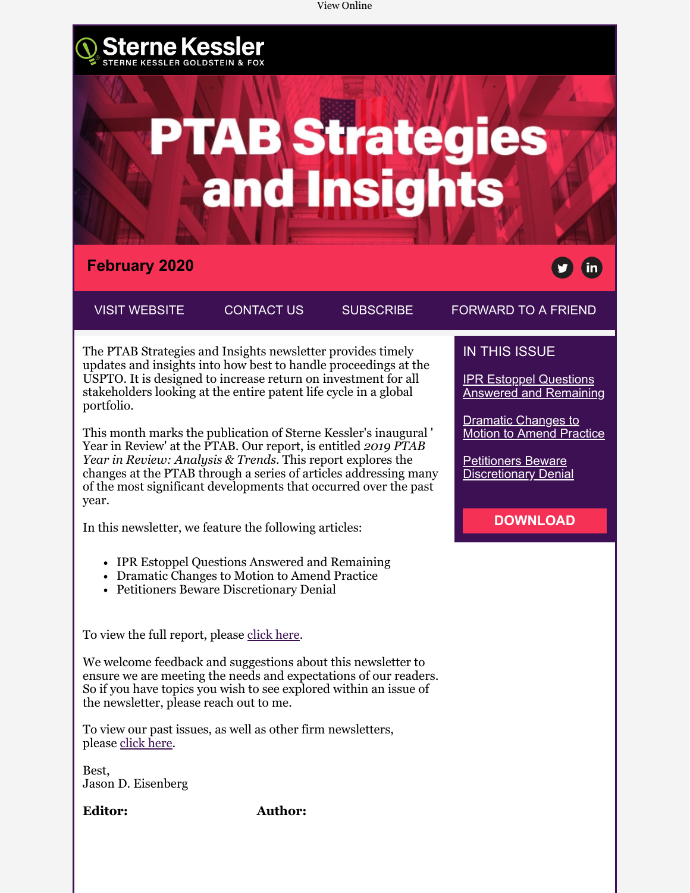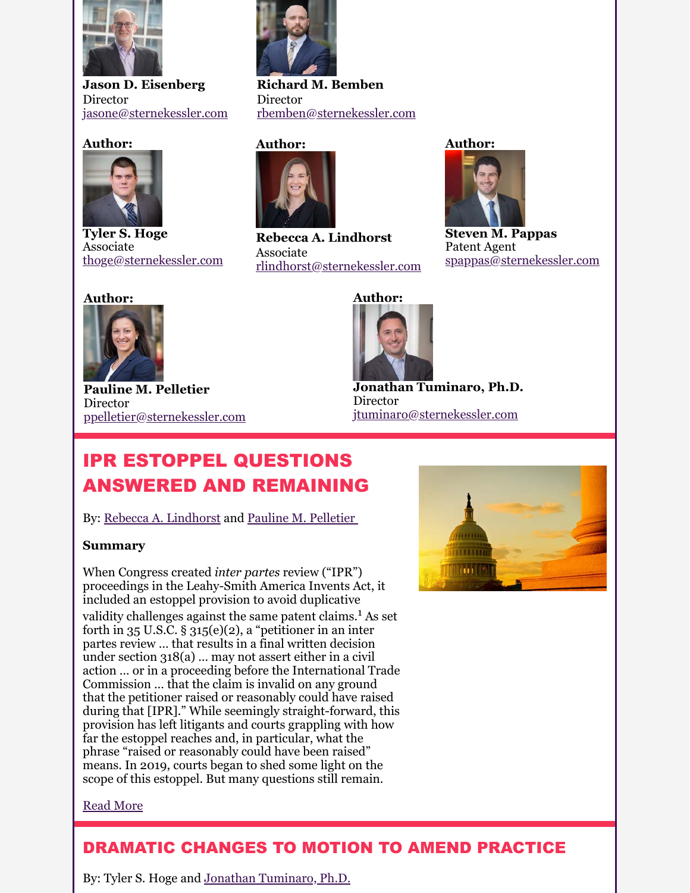

**Jason D. Eisenberg** Director [jasone@sternekessler.com](mailto:jasone@sternekessler.com)

#### **Author:**



**Tyler S. Hoge** Associate [thoge@sternekessler.com](mailto:%E2%80%8Bthoge@sternekessler.com)

# [rbemben@sternekessler.com](mailto:rbemben@sternekessler.com)

**Director** 

**Richard M. Bemben**



**Rebecca A. Lindhorst** Associate [rlindhorst@sternekessler.com](mailto:rlindhorst@sternekessler.com) **Author:**



**Steven M. Pappas** Patent Agent [spappas@sternekessler.com](mailto:spappas@sternekessler.com)

### **Author:**



**Pauline M. Pelletier** Director [ppelletier@sternekessler.com](mailto:ppelletier@sternekessler.com)



**Jonathan Tuminaro, Ph.D.** Director [jtuminaro@sternekessler.com](http://jtuminaro@sternekessler.com/)

## IPR ESTOPPEL QUESTIONS ANSWERED AND REMAINING

By: [Rebecca A. Lindhorst](https://www.sternekessler.com/professionals/rebecca-lindhorst) and Pauline M. Pelletier

#### **Summary**

When Congress created *inter partes* review ("IPR") proceedings in the Leahy-Smith America Invents Act, it included an estoppel provision to avoid duplicative validity challenges against the same patent claims.<sup>1</sup> As set forth in  $35$  U.S.C. §  $315(e)(2)$ , a "petitioner in an inter partes review … that results in a final written decision under section 318(a) … may not assert either in a civil action … or in a proceeding before the International Trade Commission … that the claim is invalid on any ground that the petitioner raised or reasonably could have raised during that [IPR]." While seemingly straight-forward, this provision has left litigants and courts grappling with how far the estoppel reaches and, in particular, what the phrase "raised or reasonably could have been raised" means. In 2019, courts began to shed some light on the scope of this estoppel. But many questions still remain.

<span id="page-1-1"></span><span id="page-1-0"></span>

#### [Read More](https://e.sternekessler.com/cv/9a6311a90c36bcb6ad26a91d33e66105069d0694/p=8694617)

### DRAMATIC CHANGES TO MOTION TO AMEND PRACTICE

By: Tyler S. Hoge and [Jonathan Tuminaro, Ph.D.](https://www.sternekessler.com/professionals/jonathan-tuminaro)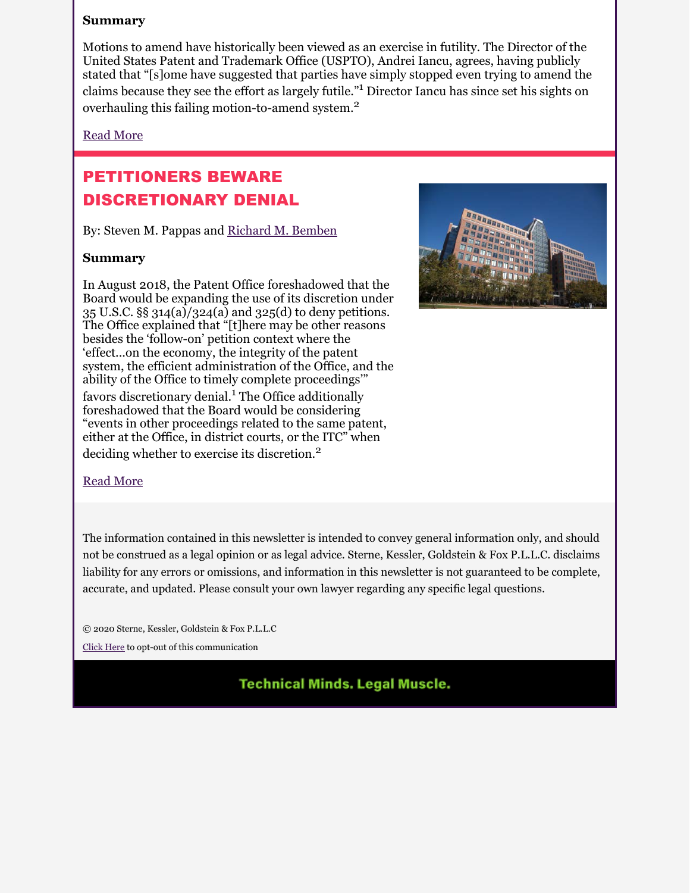#### **Summary**

Motions to amend have historically been viewed as an exercise in futility. The Director of the United States Patent and Trademark Office (USPTO), Andrei Iancu, agrees, having publicly stated that "[s]ome have suggested that parties have simply stopped even trying to amend the claims because they see the effort as largely futile."<sup>1</sup> Director Iancu has since set his sights on overhauling this failing motion-to-amend system.<sup>2</sup>

#### [Read More](https://e.sternekessler.com/cv/9a6311a90c36bcb6ad26a91d33e66105069d0694/p=6900546)

### PETITIONERS BEWARE DISCRETIONARY DENIAL

By: Steven M. Pappas and [Richard M. Bemben](https://www.sternekessler.com/professionals/richard-m-bemben)

#### **Summary**

In August 2018, the Patent Office foreshadowed that the Board would be expanding the use of its discretion under 35 U.S.C. §§ 314(a)/324(a) and 325(d) to deny petitions. The Office explained that "[t]here may be other reasons besides the 'follow-on' petition context where the 'effect...on the economy, the integrity of the patent system, the efficient administration of the Office, and the ability of the Office to timely complete proceedings'" favors discretionary denial.<sup>1</sup> The Office additionally foreshadowed that the Board would be considering "events in other proceedings related to the same patent, either at the Office, in district courts, or the ITC" when deciding whether to exercise its discretion.<sup>2</sup>

<span id="page-2-0"></span>

#### [Read More](https://e.sternekessler.com/cv/9a6311a90c36bcb6ad26a91d33e66105069d0694/p=2585272)

The information contained in this newsletter is intended to convey general information only, and should not be construed as a legal opinion or as legal advice. Sterne, Kessler, Goldstein & Fox P.L.L.C. disclaims liability for any errors or omissions, and information in this newsletter is not guaranteed to be complete, accurate, and updated. Please consult your own lawyer regarding any specific legal questions.

© 2020 Sterne, Kessler, Goldstein & Fox P.L.L.C

[Click Here](https://e.sternekessler.com/ro/) to opt-out of this communication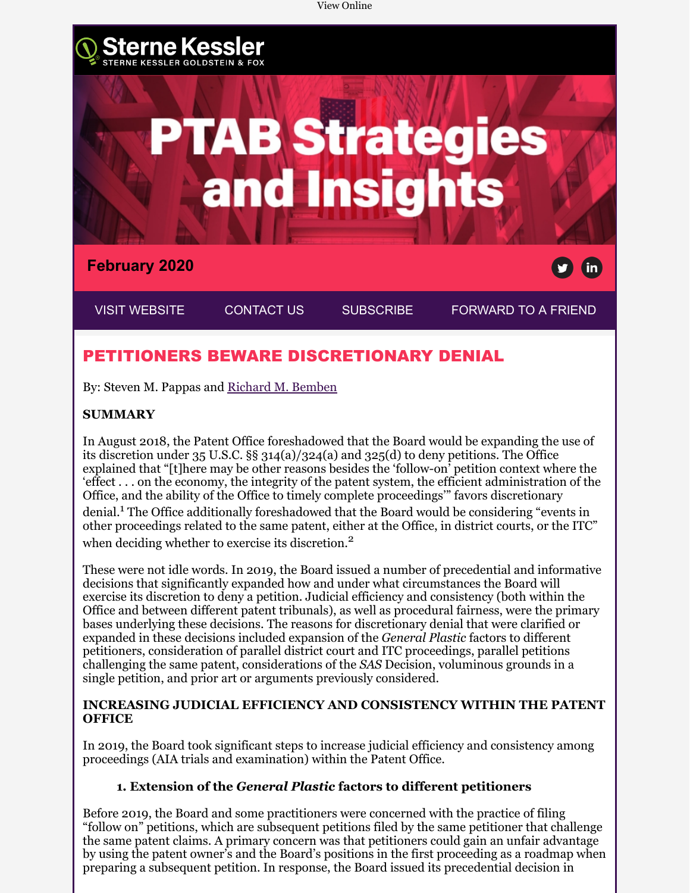

By: Steven M. Pappas and [Richard M. Bemben](https://www.sternekessler.com/professionals/richard-m-bemben)

#### **SUMMARY**

In August 2018, the Patent Office foreshadowed that the Board would be expanding the use of its discretion under 35 U.S.C. §§ 314(a)/324(a) and 325(d) to deny petitions. The Office explained that "[t]here may be other reasons besides the 'follow-on' petition context where the 'effect . . . on the economy, the integrity of the patent system, the efficient administration of the Office, and the ability of the Office to timely complete proceedings'" favors discretionary denial.<sup>1</sup> The Office additionally foreshadowed that the Board would be considering "events in other proceedings related to the same patent, either at the Office, in district courts, or the ITC" when deciding whether to exercise its discretion.<sup>2</sup>

These were not idle words. In 2019, the Board issued a number of precedential and informative decisions that significantly expanded how and under what circumstances the Board will exercise its discretion to deny a petition. Judicial efficiency and consistency (both within the Office and between different patent tribunals), as well as procedural fairness, were the primary bases underlying these decisions. The reasons for discretionary denial that were clarified or expanded in these decisions included expansion of the *General Plastic* factors to different petitioners, consideration of parallel district court and ITC proceedings, parallel petitions challenging the same patent, considerations of the *SAS* Decision, voluminous grounds in a single petition, and prior art or arguments previously considered.

#### **INCREASING JUDICIAL EFFICIENCY AND CONSISTENCY WITHIN THE PATENT OFFICE**

In 2019, the Board took significant steps to increase judicial efficiency and consistency among proceedings (AIA trials and examination) within the Patent Office.

#### **1. Extension of the** *General Plastic* **factors to different petitioners**

Before 2019, the Board and some practitioners were concerned with the practice of filing "follow on" petitions, which are subsequent petitions filed by the same petitioner that challenge the same patent claims. A primary concern was that petitioners could gain an unfair advantage by using the patent owner's and the Board's positions in the first proceeding as a roadmap when preparing a subsequent petition. In response, the Board issued its precedential decision in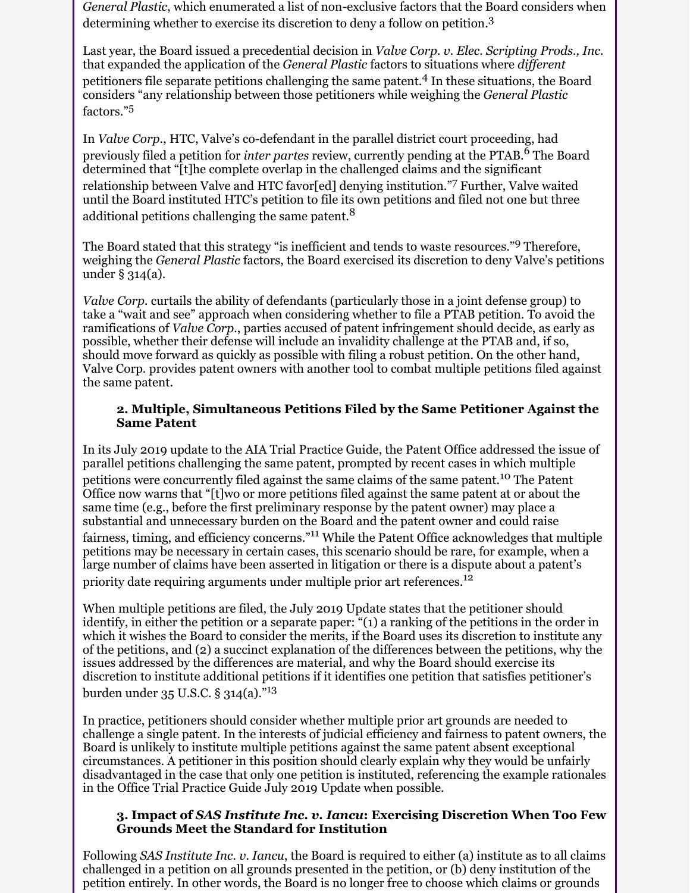*General Plastic*, which enumerated a list of non-exclusive factors that the Board considers when determining whether to exercise its discretion to deny a follow on petition.<sup>3</sup>

Last year, the Board issued a precedential decision in *Valve Corp. v. Elec. Scripting Prods., Inc.* that expanded the application of the *General Plastic* factors to situations where *different* petitioners file separate petitions challenging the same patent. 4 In these situations, the Board considers "any relationship between those petitioners while weighing the *General Plastic* factors."<sup>5</sup>

In *Valve Corp.*, HTC, Valve's co-defendant in the parallel district court proceeding, had previously filed a petition for *inter partes* review, currently pending at the PTAB.<sup>6</sup> The Board determined that "[t]he complete overlap in the challenged claims and the significant relationship between Valve and HTC favor[ed] denying institution."<sup>7</sup> Further, Valve waited until the Board instituted HTC's petition to file its own petitions and filed not one but three additional petitions challenging the same patent.<sup>8</sup>

The Board stated that this strategy "is inefficient and tends to waste resources."<sup>9</sup> Therefore, weighing the *General Plastic* factors, the Board exercised its discretion to deny Valve's petitions under § 314(a).

*Valve Corp.* curtails the ability of defendants (particularly those in a joint defense group) to take a "wait and see" approach when considering whether to file a PTAB petition. To avoid the ramifications of *Valve Corp.*, parties accused of patent infringement should decide, as early as possible, whether their defense will include an invalidity challenge at the PTAB and, if so, should move forward as quickly as possible with filing a robust petition. On the other hand, Valve Corp. provides patent owners with another tool to combat multiple petitions filed against the same patent.

#### **2. Multiple, Simultaneous Petitions Filed by the Same Petitioner Against the Same Patent**

In its July 2019 update to the AIA Trial Practice Guide, the Patent Office addressed the issue of parallel petitions challenging the same patent, prompted by recent cases in which multiple petitions were concurrently filed against the same claims of the same patent.<sup>10</sup> The Patent Office now warns that "[t]wo or more petitions filed against the same patent at or about the same time (e.g., before the first preliminary response by the patent owner) may place a substantial and unnecessary burden on the Board and the patent owner and could raise fairness, timing, and efficiency concerns."11 While the Patent Office acknowledges that multiple petitions may be necessary in certain cases, this scenario should be rare, for example, when a large number of claims have been asserted in litigation or there is a dispute about a patent's priority date requiring arguments under multiple prior art references.<sup>12</sup>

When multiple petitions are filed, the July 2019 Update states that the petitioner should identify, in either the petition or a separate paper: "(1) a ranking of the petitions in the order in which it wishes the Board to consider the merits, if the Board uses its discretion to institute any of the petitions, and (2) a succinct explanation of the differences between the petitions, why the issues addressed by the differences are material, and why the Board should exercise its discretion to institute additional petitions if it identifies one petition that satisfies petitioner's burden under 35 U.S.C. § 314(a)."<sup>13</sup>

In practice, petitioners should consider whether multiple prior art grounds are needed to challenge a single patent. In the interests of judicial efficiency and fairness to patent owners, the Board is unlikely to institute multiple petitions against the same patent absent exceptional circumstances. A petitioner in this position should clearly explain why they would be unfairly disadvantaged in the case that only one petition is instituted, referencing the example rationales in the Office Trial Practice Guide July 2019 Update when possible.

#### **3. Impact of** *SAS Institute Inc. v. Iancu***: Exercising Discretion When Too Few Grounds Meet the Standard for Institution**

Following *SAS Institute Inc. v. Iancu*, the Board is required to either (a) institute as to all claims challenged in a petition on all grounds presented in the petition, or (b) deny institution of the petition entirely. In other words, the Board is no longer free to choose which claims or grounds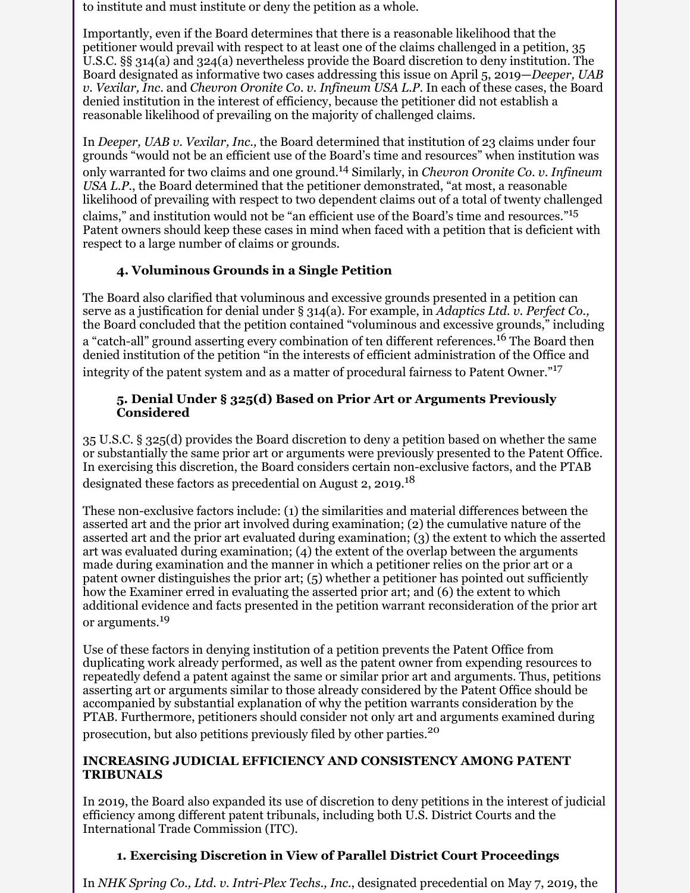to institute and must institute or deny the petition as a whole.

Importantly, even if the Board determines that there is a reasonable likelihood that the petitioner would prevail with respect to at least one of the claims challenged in a petition, 35 U.S.C. §§ 314(a) and 324(a) nevertheless provide the Board discretion to deny institution. The Board designated as informative two cases addressing this issue on April 5, 2019—*Deeper, UAB v. Vexilar, Inc*. and *Chevron Oronite Co. v. Infineum USA L.P*. In each of these cases, the Board denied institution in the interest of efficiency, because the petitioner did not establish a reasonable likelihood of prevailing on the majority of challenged claims.

In *Deeper, UAB v. Vexilar, Inc.,* the Board determined that institution of 23 claims under four grounds "would not be an efficient use of the Board's time and resources" when institution was only warranted for two claims and one ground.14 Similarly, in *Chevron Oronite Co. v. Infineum USA L.P.*, the Board determined that the petitioner demonstrated, "at most, a reasonable likelihood of prevailing with respect to two dependent claims out of a total of twenty challenged claims," and institution would not be "an efficient use of the Board's time and resources."<sup>15</sup> Patent owners should keep these cases in mind when faced with a petition that is deficient with respect to a large number of claims or grounds.

#### **4. Voluminous Grounds in a Single Petition**

The Board also clarified that voluminous and excessive grounds presented in a petition can serve as a justification for denial under § 314(a). For example, in *Adaptics Ltd. v. Perfect Co.,* the Board concluded that the petition contained "voluminous and excessive grounds," including a "catch-all" ground asserting every combination of ten different references.<sup>16</sup> The Board then denied institution of the petition "in the interests of efficient administration of the Office and integrity of the patent system and as a matter of procedural fairness to Patent Owner."<sup>17</sup>

#### **5. Denial Under § 325(d) Based on Prior Art or Arguments Previously Considered**

35 U.S.C. § 325(d) provides the Board discretion to deny a petition based on whether the same or substantially the same prior art or arguments were previously presented to the Patent Office. In exercising this discretion, the Board considers certain non-exclusive factors, and the PTAB designated these factors as precedential on August 2, 2019.<sup>18</sup>

These non-exclusive factors include: (1) the similarities and material differences between the asserted art and the prior art involved during examination; (2) the cumulative nature of the asserted art and the prior art evaluated during examination; (3) the extent to which the asserted art was evaluated during examination; (4) the extent of the overlap between the arguments made during examination and the manner in which a petitioner relies on the prior art or a patent owner distinguishes the prior art; (5) whether a petitioner has pointed out sufficiently how the Examiner erred in evaluating the asserted prior art; and (6) the extent to which additional evidence and facts presented in the petition warrant reconsideration of the prior art or arguments.<sup>19</sup>

Use of these factors in denying institution of a petition prevents the Patent Office from duplicating work already performed, as well as the patent owner from expending resources to repeatedly defend a patent against the same or similar prior art and arguments. Thus, petitions asserting art or arguments similar to those already considered by the Patent Office should be accompanied by substantial explanation of why the petition warrants consideration by the PTAB. Furthermore, petitioners should consider not only art and arguments examined during prosecution, but also petitions previously filed by other parties.<sup>20</sup>

#### **INCREASING JUDICIAL EFFICIENCY AND CONSISTENCY AMONG PATENT TRIBUNALS**

In 2019, the Board also expanded its use of discretion to deny petitions in the interest of judicial efficiency among different patent tribunals, including both U.S. District Courts and the International Trade Commission (ITC).

#### **1. Exercising Discretion in View of Parallel District Court Proceedings**

In *NHK Spring Co., Ltd. v. Intri-Plex Techs., Inc.*, designated precedential on May 7, 2019, the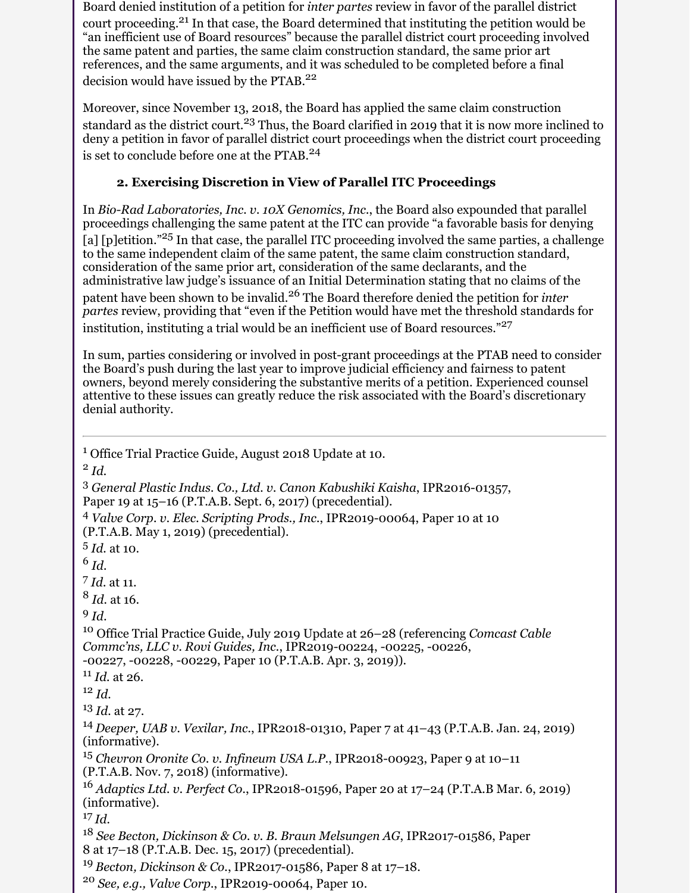Board denied institution of a petition for *inter partes* review in favor of the parallel district court proceeding.<sup>21</sup> In that case, the Board determined that instituting the petition would be "an inefficient use of Board resources" because the parallel district court proceeding involved the same patent and parties, the same claim construction standard, the same prior art references, and the same arguments, and it was scheduled to be completed before a final decision would have issued by the PTAB.<sup>22</sup>

Moreover, since November 13, 2018, the Board has applied the same claim construction standard as the district court.<sup>23</sup> Thus, the Board clarified in 2019 that it is now more inclined to deny a petition in favor of parallel district court proceedings when the district court proceeding is set to conclude before one at the PTAB.<sup>24</sup>

#### **2. Exercising Discretion in View of Parallel ITC Proceedings**

In *Bio-Rad Laboratories, Inc. v. 10X Genomics, Inc.*, the Board also expounded that parallel proceedings challenging the same patent at the ITC can provide "a favorable basis for denying [a] [p]etition."<sup>25</sup> In that case, the parallel ITC proceeding involved the same parties, a challenge to the same independent claim of the same patent, the same claim construction standard, consideration of the same prior art, consideration of the same declarants, and the administrative law judge's issuance of an Initial Determination stating that no claims of the patent have been shown to be invalid.26 The Board therefore denied the petition for *inter partes* review, providing that "even if the Petition would have met the threshold standards for institution, instituting a trial would be an inefficient use of Board resources."<sup>27</sup>

In sum, parties considering or involved in post-grant proceedings at the PTAB need to consider the Board's push during the last year to improve judicial efficiency and fairness to patent owners, beyond merely considering the substantive merits of a petition. Experienced counsel attentive to these issues can greatly reduce the risk associated with the Board's discretionary denial authority.

<sup>1</sup> Office Trial Practice Guide, August 2018 Update at 10.

2 *Id.*

<sup>3</sup> *General Plastic Indus. Co., Ltd. v. Canon Kabushiki Kaisha*, IPR2016-01357, Paper 19 at 15–16 (P.T.A.B. Sept. 6, 2017) (precedential).

<sup>4</sup> *Valve Corp. v. Elec. Scripting Prods., Inc.*, IPR2019-00064, Paper 10 at 10 (P.T.A.B. May 1, 2019) (precedential).

5 *Id.* at 10.

6 *Id.*

7 *Id.* at 11.

8 *Id.* at 16.

9 *Id*.

<sup>10</sup> Office Trial Practice Guide, July 2019 Update at 26–28 (referencing *Comcast Cable Commc'ns, LLC v. Rovi Guides, Inc.*, IPR2019-00224, -00225, -00226, -00227, -00228, -00229, Paper 10 (P.T.A.B. Apr. 3, 2019)).

<sup>11</sup> *Id.* at 26.

<sup>12</sup> *Id.*

<sup>13</sup> *Id.* at 27.

<sup>14</sup>*Deeper, UAB v. Vexilar, Inc.*, IPR2018-01310, Paper 7 at 41–43 (P.T.A.B. Jan. 24, 2019) (informative).

<sup>15</sup> *Chevron Oronite Co. v. Infineum USA L.P.*, IPR2018-00923, Paper 9 at 10–11 (P.T.A.B. Nov. 7, 2018) (informative).

<sup>16</sup> *Adaptics Ltd. v. Perfect Co.*, IPR2018-01596, Paper 20 at 17–24 (P.T.A.B Mar. 6, 2019) (informative).

 $17$  *Id.* 

<sup>18</sup> *See Becton, Dickinson & Co. v. B. Braun Melsungen AG*, IPR2017-01586, Paper 8 at 17–18 (P.T.A.B. Dec. 15, 2017) (precedential).

<sup>19</sup>*Becton, Dickinson & Co.*, IPR2017-01586, Paper 8 at 17–18.

<sup>20</sup> *See, e.g., Valve Corp.*, IPR2019-00064, Paper 10.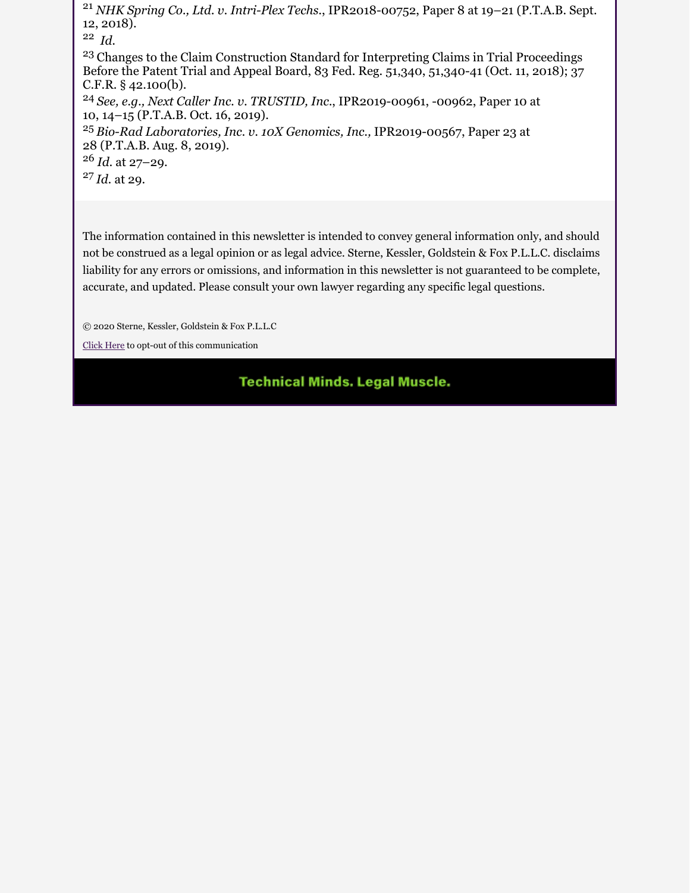<sup>21</sup> *NHK Spring Co., Ltd. v. Intri-Plex Techs.*, IPR2018-00752, Paper 8 at 19–21 (P.T.A.B. Sept. 12, 2018).

22 *Id.* 

<sup>23</sup> Changes to the Claim Construction Standard for Interpreting Claims in Trial Proceedings Before the Patent Trial and Appeal Board, 83 Fed. Reg. 51,340, 51,340-41 (Oct. 11, 2018); 37 C.F.R. § 42.100(b).

<sup>24</sup>*See, e.g., Next Caller Inc. v. TRUSTID, Inc.*, IPR2019-00961, -00962, Paper 10 at 10, 14–15 (P.T.A.B. Oct. 16, 2019).

<sup>25</sup>*Bio-Rad Laboratories, Inc. v. 10X Genomics, Inc.,* IPR2019-00567, Paper 23 at 28 (P.T.A.B. Aug. 8, 2019).

<sup>26</sup> *Id.* at 27–29.

<sup>27</sup>*Id.* at 29.

The information contained in this newsletter is intended to convey general information only, and should not be construed as a legal opinion or as legal advice. Sterne, Kessler, Goldstein & Fox P.L.L.C. disclaims liability for any errors or omissions, and information in this newsletter is not guaranteed to be complete, accurate, and updated. Please consult your own lawyer regarding any specific legal questions.

© 2020 Sterne, Kessler, Goldstein & Fox P.L.L.C

[Click Here](https://e.sternekessler.com/ro/) to opt-out of this communication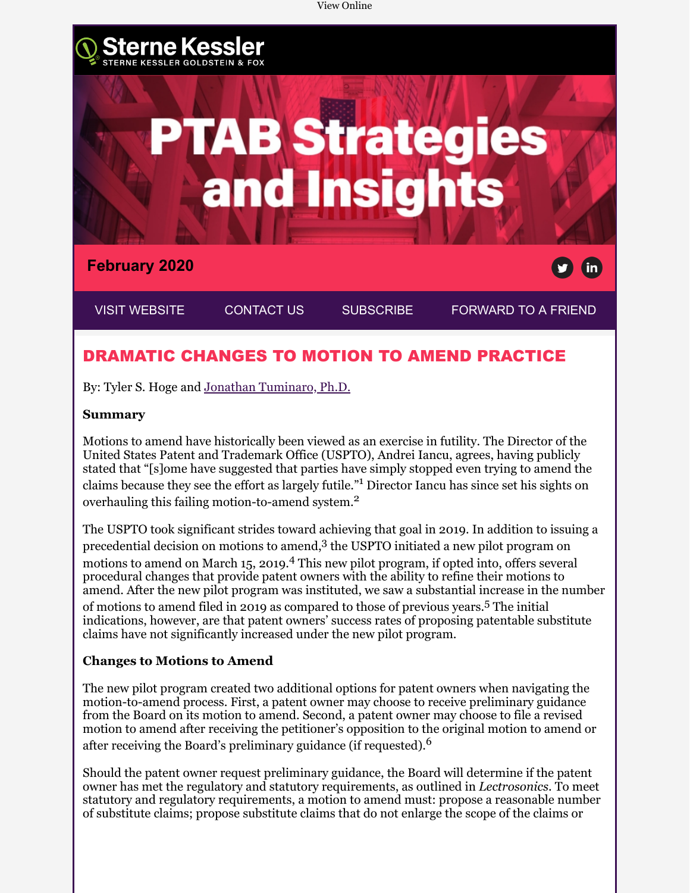

### DRAMATIC CHANGES TO MOTION TO AMEND PRACTICE

By: Tyler S. Hoge and [Jonathan Tuminaro, Ph.D.](https://www.sternekessler.com/professionals/jonathan-tuminaro)

#### **Summary**

Motions to amend have historically been viewed as an exercise in futility. The Director of the United States Patent and Trademark Office (USPTO), Andrei Iancu, agrees, having publicly stated that "[s]ome have suggested that parties have simply stopped even trying to amend the claims because they see the effort as largely futile."<sup>1</sup> Director Iancu has since set his sights on overhauling this failing motion-to-amend system.<sup>2</sup>

The USPTO took significant strides toward achieving that goal in 2019. In addition to issuing a precedential decision on motions to amend,<sup>3</sup> the USPTO initiated a new pilot program on motions to amend on March 15, 2019.<sup>4</sup> This new pilot program, if opted into, offers several procedural changes that provide patent owners with the ability to refine their motions to amend. After the new pilot program was instituted, we saw a substantial increase in the number of motions to amend filed in 2019 as compared to those of previous years.<sup>5</sup> The initial indications, however, are that patent owners' success rates of proposing patentable substitute claims have not significantly increased under the new pilot program.

#### **Changes to Motions to Amend**

The new pilot program created two additional options for patent owners when navigating the motion-to-amend process. First, a patent owner may choose to receive preliminary guidance from the Board on its motion to amend. Second, a patent owner may choose to file a revised motion to amend after receiving the petitioner's opposition to the original motion to amend or after receiving the Board's preliminary guidance (if requested).<sup>6</sup>

Should the patent owner request preliminary guidance, the Board will determine if the patent owner has met the regulatory and statutory requirements, as outlined in *Lectrosonics*. To meet statutory and regulatory requirements, a motion to amend must: propose a reasonable number of substitute claims; propose substitute claims that do not enlarge the scope of the claims or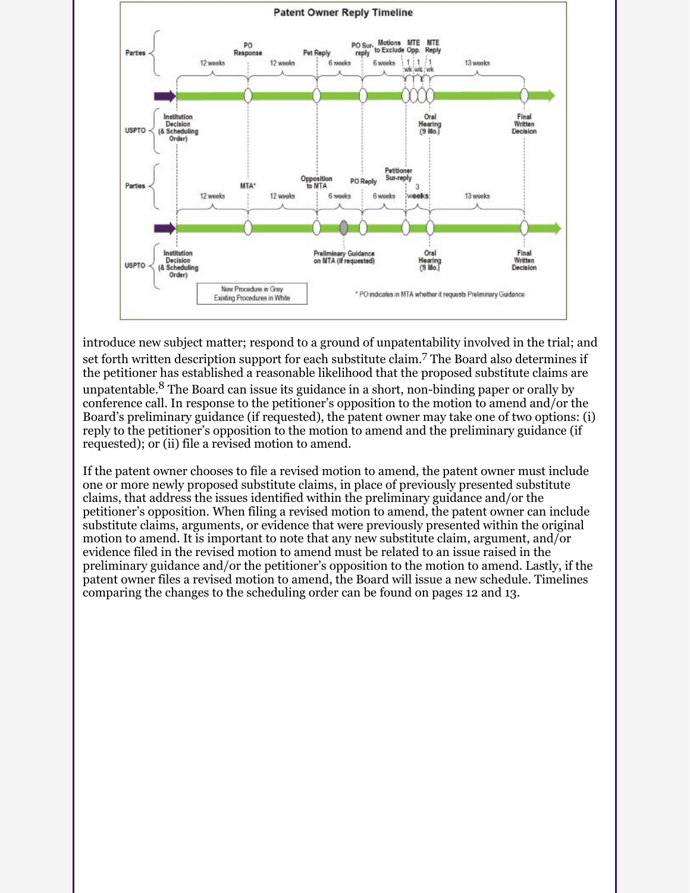

introduce new subject matter; respond to a ground of unpatentability involved in the trial; and set forth written description support for each substitute claim. 7 The Board also determines if the petitioner has established a reasonable likelihood that the proposed substitute claims are unpatentable.<sup>8</sup> The Board can issue its guidance in a short, non-binding paper or orally by conference call. In response to the petitioner's opposition to the motion to amend and/or the Board's preliminary guidance (if requested), the patent owner may take one of two options: (i) reply to the petitioner's opposition to the motion to amend and the preliminary guidance (if requested); or (ii) file a revised motion to amend.

If the patent owner chooses to file a revised motion to amend, the patent owner must include one or more newly proposed substitute claims, in place of previously presented substitute claims, that address the issues identified within the preliminary guidance and/or the petitioner's opposition. When filing a revised motion to amend, the patent owner can include substitute claims, arguments, or evidence that were previously presented within the original motion to amend. It is important to note that any new substitute claim, argument, and/or evidence filed in the revised motion to amend must be related to an issue raised in the preliminary guidance and/or the petitioner's opposition to the motion to amend. Lastly, if the patent owner files a revised motion to amend, the Board will issue a new schedule. Timelines comparing the changes to the scheduling order can be found on pages 12 and 13.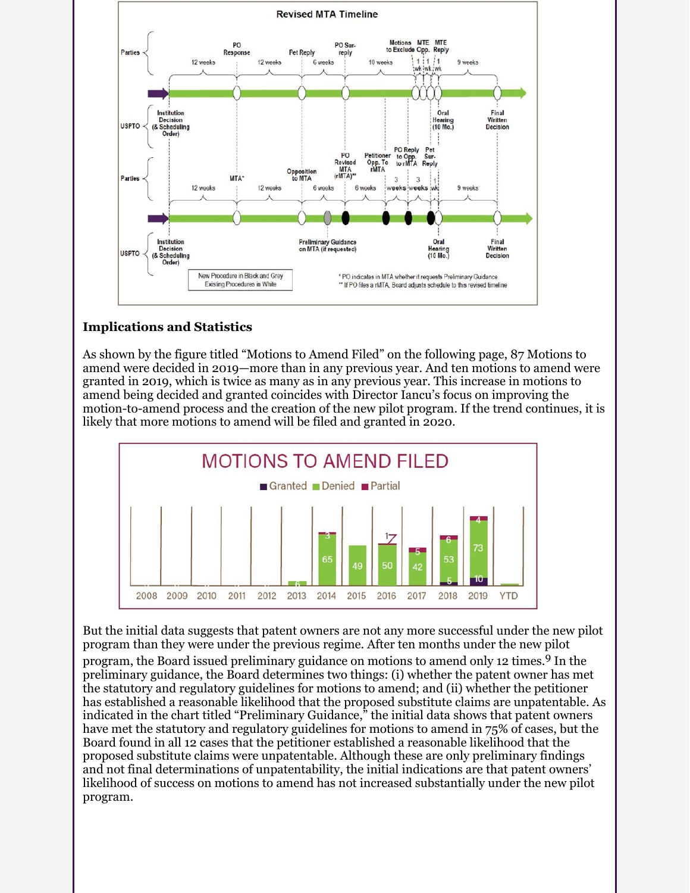

#### **Implications and Statistics**

As shown by the figure titled "Motions to Amend Filed" on the following page, 87 Motions to amend were decided in 2019—more than in any previous year. And ten motions to amend were granted in 2019, which is twice as many as in any previous year. This increase in motions to amend being decided and granted coincides with Director Iancu's focus on improving the motion-to-amend process and the creation of the new pilot program. If the trend continues, it is likely that more motions to amend will be filed and granted in 2020.



But the initial data suggests that patent owners are not any more successful under the new pilot program than they were under the previous regime. After ten months under the new pilot program, the Board issued preliminary guidance on motions to amend only 12 times.<sup>9</sup> In the preliminary guidance, the Board determines two things: (i) whether the patent owner has met the statutory and regulatory guidelines for motions to amend; and (ii) whether the petitioner has established a reasonable likelihood that the proposed substitute claims are unpatentable. As indicated in the chart titled "Preliminary Guidance," the initial data shows that patent owners have met the statutory and regulatory guidelines for motions to amend in 75% of cases, but the Board found in all 12 cases that the petitioner established a reasonable likelihood that the proposed substitute claims were unpatentable. Although these are only preliminary findings and not final determinations of unpatentability, the initial indications are that patent owners' likelihood of success on motions to amend has not increased substantially under the new pilot program.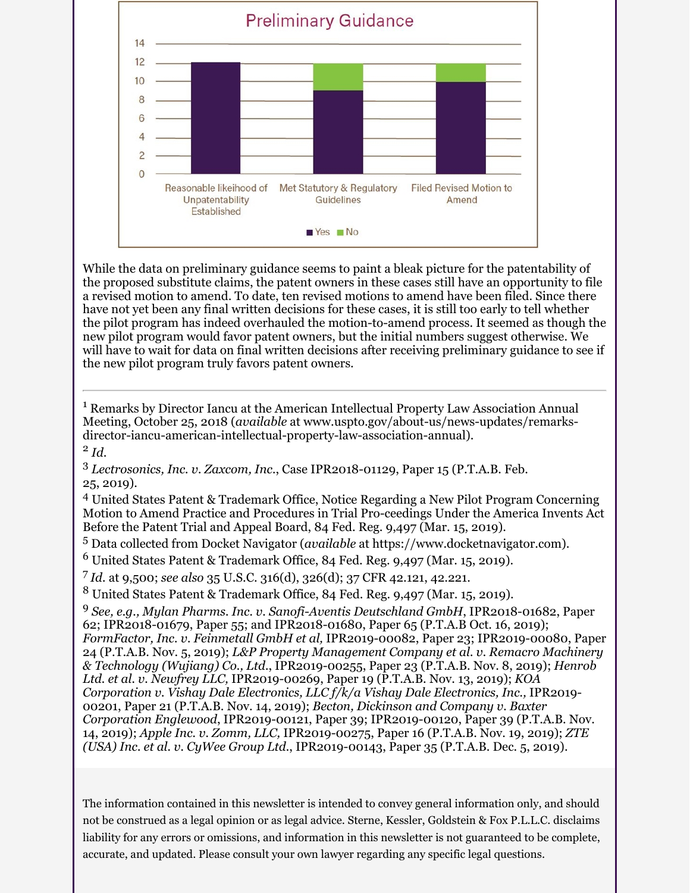

While the data on preliminary guidance seems to paint a bleak picture for the patentability of the proposed substitute claims, the patent owners in these cases still have an opportunity to file a revised motion to amend. To date, ten revised motions to amend have been filed. Since there have not yet been any final written decisions for these cases, it is still too early to tell whether the pilot program has indeed overhauled the motion-to-amend process. It seemed as though the new pilot program would favor patent owners, but the initial numbers suggest otherwise. We will have to wait for data on final written decisions after receiving preliminary guidance to see if the new pilot program truly favors patent owners.

<sup>1</sup> Remarks by Director Iancu at the American Intellectual Property Law Association Annual Meeting, October 25, 2018 (*available* at www.uspto.gov/about-us/news-updates/remarksdirector-iancu-american-intellectual-property-law-association-annual). 2 *Id*.

<sup>3</sup> *Lectrosonics, Inc. v. Zaxcom, Inc.*, Case IPR2018-01129, Paper 15 (P.T.A.B. Feb. 25, 2019).

4 United States Patent & Trademark Office, Notice Regarding a New Pilot Program Concerning Motion to Amend Practice and Procedures in Trial Pro-ceedings Under the America Invents Act Before the Patent Trial and Appeal Board, 84 Fed. Reg. 9,497 (Mar. 15, 2019).

5 Data collected from Docket Navigator (*available* at https://www.docketnavigator.com).

 $^6$  United States Patent & Trademark Office, 84 Fed. Reg. 9,497 (Mar. 15, 2019).

<sup>7</sup>*Id.* at 9,500; *see also* 35 U.S.C. 316(d), 326(d); 37 CFR 42.121, 42.221.

 $^8$  United States Patent & Trademark Office, 84 Fed. Reg. 9,497 (Mar. 15, 2019).

<sup>9</sup> *See, e.g., Mylan Pharms. Inc. v. Sanofi-Aventis Deutschland GmbH*, IPR2018-01682, Paper 62; IPR2018-01679, Paper 55; and IPR2018-01680, Paper 65 (P.T.A.B Oct. 16, 2019); *FormFactor, Inc. v. Feinmetall GmbH et al,* IPR2019-00082, Paper 23; IPR2019-00080, Paper 24 (P.T.A.B. Nov. 5, 2019); *L&P Property Management Company et al. v. Remacro Machinery & Technology (Wujiang) Co., Ltd.*, IPR2019-00255, Paper 23 (P.T.A.B. Nov. 8, 2019); *Henrob Ltd. et al. v. Newfrey LLC,* IPR2019-00269, Paper 19 (P.T.A.B. Nov. 13, 2019); *KOA Corporation v. Vishay Dale Electronics, LLC f/k/a Vishay Dale Electronics, Inc.,* IPR2019- 00201, Paper 21 (P.T.A.B. Nov. 14, 2019); *Becton, Dickinson and Company v. Baxter Corporation Englewood*, IPR2019-00121, Paper 39; IPR2019-00120, Paper 39 (P.T.A.B. Nov. 14, 2019); *Apple Inc. v. Zomm, LLC,* IPR2019-00275, Paper 16 (P.T.A.B. Nov. 19, 2019); *ZTE (USA) Inc. et al. v. CyWee Group Ltd.*, IPR2019-00143, Paper 35 (P.T.A.B. Dec. 5, 2019).

The information contained in this newsletter is intended to convey general information only, and should not be construed as a legal opinion or as legal advice. Sterne, Kessler, Goldstein & Fox P.L.L.C. disclaims liability for any errors or omissions, and information in this newsletter is not guaranteed to be complete, accurate, and updated. Please consult your own lawyer regarding any specific legal questions.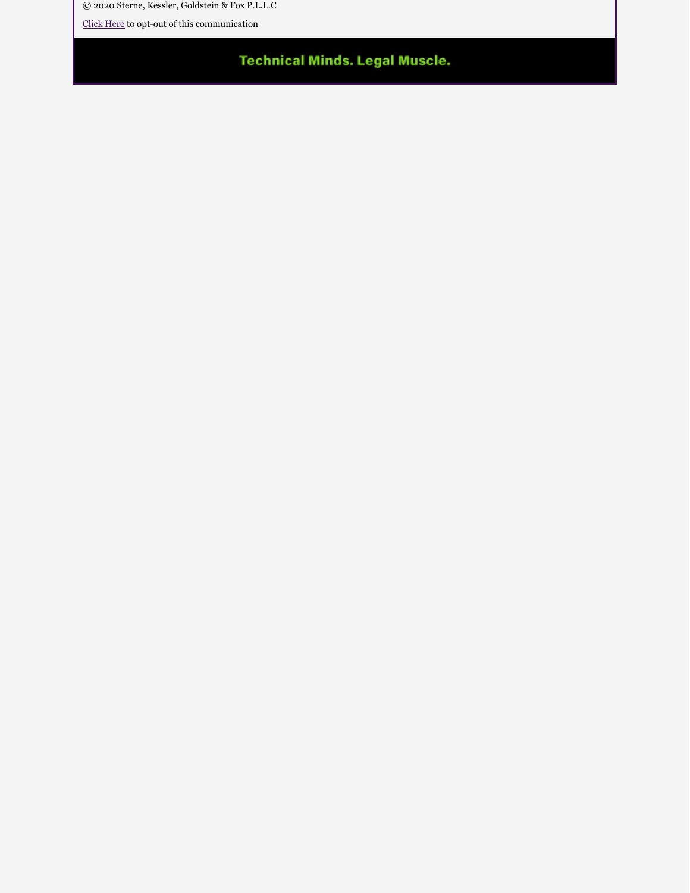© 2020 Sterne, Kessler, Goldstein & Fox P.L.L.C

[Click Here](https://e.sternekessler.com/ro/) to opt-out of this communication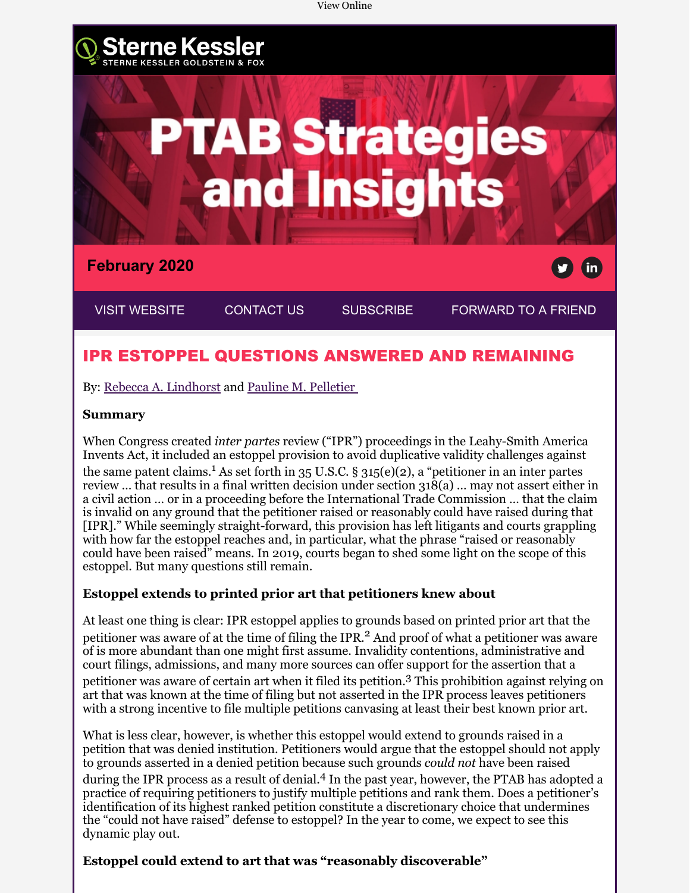

### IPR ESTOPPEL QUESTIONS ANSWERED AND REMAINING

By: [Rebecca A. Lindhorst](https://www.sternekessler.com/professionals/rebecca-lindhorst) and [Pauline M. Pelletier](https://www.sternekessler.com/professionals/pauline-m-pelletier) 

#### **Summary**

When Congress created *inter partes* review ("IPR") proceedings in the Leahy-Smith America Invents Act, it included an estoppel provision to avoid duplicative validity challenges against the same patent claims.<sup>1</sup> As set forth in 35 U.S.C. § 315(e)(2), a "petitioner in an inter partes review ... that results in a final written decision under section  $318(a)$  ... may not assert either in a civil action … or in a proceeding before the International Trade Commission … that the claim is invalid on any ground that the petitioner raised or reasonably could have raised during that [IPR]." While seemingly straight-forward, this provision has left litigants and courts grappling with how far the estoppel reaches and, in particular, what the phrase "raised or reasonably could have been raised" means. In 2019, courts began to shed some light on the scope of this estoppel. But many questions still remain.

#### **Estoppel extends to printed prior art that petitioners knew about**

At least one thing is clear: IPR estoppel applies to grounds based on printed prior art that the petitioner was aware of at the time of filing the IPR.<sup>2</sup> And proof of what a petitioner was aware of is more abundant than one might first assume. Invalidity contentions, administrative and court filings, admissions, and many more sources can offer support for the assertion that a

petitioner was aware of certain art when it filed its petition.<sup>3</sup> This prohibition against relying on art that was known at the time of filing but not asserted in the IPR process leaves petitioners with a strong incentive to file multiple petitions canvasing at least their best known prior art.

What is less clear, however, is whether this estoppel would extend to grounds raised in a petition that was denied institution. Petitioners would argue that the estoppel should not apply to grounds asserted in a denied petition because such grounds *could not* have been raised during the IPR process as a result of denial.<sup>4</sup> In the past year, however, the PTAB has adopted a practice of requiring petitioners to justify multiple petitions and rank them. Does a petitioner's identification of its highest ranked petition constitute a discretionary choice that undermines the "could not have raised" defense to estoppel? In the year to come, we expect to see this dynamic play out.

#### **Estoppel could extend to art that was "reasonably discoverable"**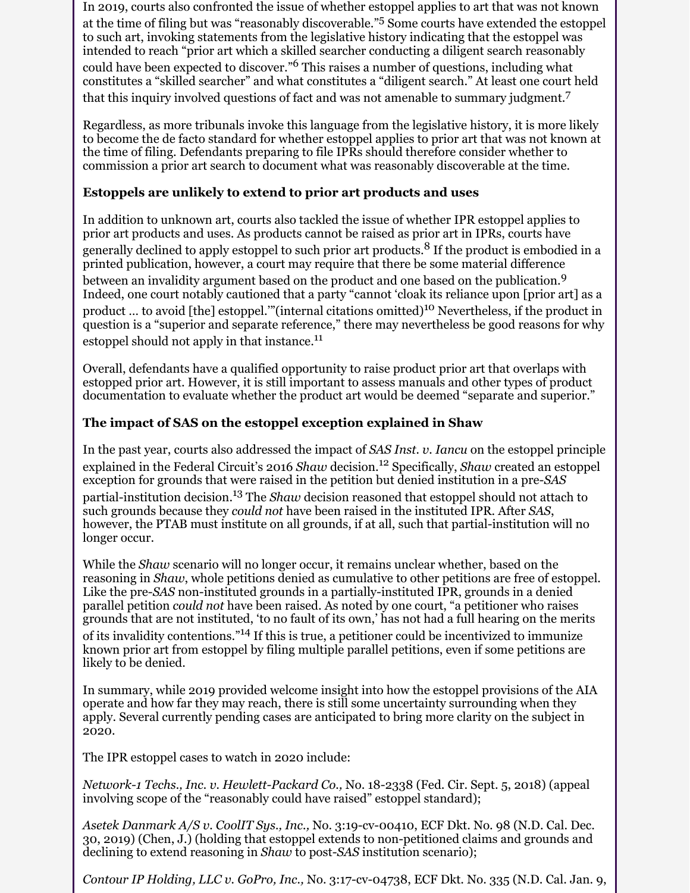In 2019, courts also confronted the issue of whether estoppel applies to art that was not known at the time of filing but was "reasonably discoverable."<sup>5</sup> Some courts have extended the estoppel to such art, invoking statements from the legislative history indicating that the estoppel was intended to reach "prior art which a skilled searcher conducting a diligent search reasonably could have been expected to discover."<sup>6</sup> This raises a number of questions, including what constitutes a "skilled searcher" and what constitutes a "diligent search." At least one court held that this inquiry involved questions of fact and was not amenable to summary judgment.<sup>7</sup>

Regardless, as more tribunals invoke this language from the legislative history, it is more likely to become the de facto standard for whether estoppel applies to prior art that was not known at the time of filing. Defendants preparing to file IPRs should therefore consider whether to commission a prior art search to document what was reasonably discoverable at the time.

#### **Estoppels are unlikely to extend to prior art products and uses**

In addition to unknown art, courts also tackled the issue of whether IPR estoppel applies to prior art products and uses. As products cannot be raised as prior art in IPRs, courts have generally declined to apply estoppel to such prior art products.<sup>8</sup> If the product is embodied in a printed publication, however, a court may require that there be some material difference between an invalidity argument based on the product and one based on the publication.<sup>9</sup> Indeed, one court notably cautioned that a party "cannot 'cloak its reliance upon [prior art] as a product ... to avoid [the] estoppel." (internal citations omitted)<sup>10</sup> Nevertheless, if the product in question is a "superior and separate reference," there may nevertheless be good reasons for why estoppel should not apply in that instance.<sup>11</sup>

Overall, defendants have a qualified opportunity to raise product prior art that overlaps with estopped prior art. However, it is still important to assess manuals and other types of product documentation to evaluate whether the product art would be deemed "separate and superior."

#### **The impact of SAS on the estoppel exception explained in Shaw**

In the past year, courts also addressed the impact of *SAS Inst. v. Iancu* on the estoppel principle explained in the Federal Circuit's 2016 *Shaw* decision.<sup>12</sup> Specifically, *Shaw* created an estoppel exception for grounds that were raised in the petition but denied institution in a pre-*SAS* partial-institution decision.13 The *Shaw* decision reasoned that estoppel should not attach to such grounds because they *could not* have been raised in the instituted IPR. After *SAS*, however, the PTAB must institute on all grounds, if at all, such that partial-institution will no longer occur.

While the *Shaw* scenario will no longer occur, it remains unclear whether, based on the reasoning in *Shaw*, whole petitions denied as cumulative to other petitions are free of estoppel. Like the pre-*SAS* non-instituted grounds in a partially-instituted IPR, grounds in a denied parallel petition *could not* have been raised. As noted by one court, "a petitioner who raises grounds that are not instituted, 'to no fault of its own,' has not had a full hearing on the merits of its invalidity contentions."14 If this is true, a petitioner could be incentivized to immunize known prior art from estoppel by filing multiple parallel petitions, even if some petitions are likely to be denied.

In summary, while 2019 provided welcome insight into how the estoppel provisions of the AIA operate and how far they may reach, there is still some uncertainty surrounding when they apply. Several currently pending cases are anticipated to bring more clarity on the subject in 2020.

The IPR estoppel cases to watch in 2020 include:

*Network-1 Techs., Inc. v. Hewlett-Packard Co.,* No. 18-2338 (Fed. Cir. Sept. 5, 2018) (appeal involving scope of the "reasonably could have raised" estoppel standard);

*Asetek Danmark A/S v. CoolIT Sys., Inc.,* No. 3:19-cv-00410, ECF Dkt. No. 98 (N.D. Cal. Dec. 30, 2019) (Chen, J.) (holding that estoppel extends to non-petitioned claims and grounds and declining to extend reasoning in *Shaw* to post-*SAS* institution scenario);

*Contour IP Holding, LLC v. GoPro, Inc.,* No. 3:17-cv-04738, ECF Dkt. No. 335 (N.D. Cal. Jan. 9,